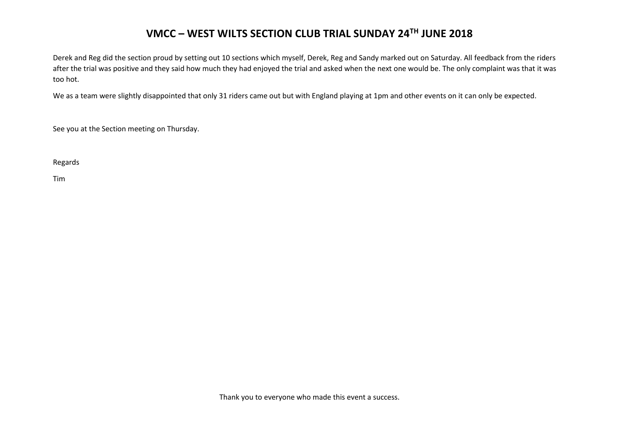## **VMCC – WEST WILTS SECTION CLUB TRIAL SUNDAY 24TH JUNE 2018**

Derek and Reg did the section proud by setting out 10 sections which myself, Derek, Reg and Sandy marked out on Saturday. All feedback from the riders after the trial was positive and they said how much they had enjoyed the trial and asked when the next one would be. The only complaint was that it was too hot.

We as a team were slightly disappointed that only 31 riders came out but with England playing at 1pm and other events on it can only be expected.

See you at the Section meeting on Thursday.

Regards

Tim

Thank you to everyone who made this event a success.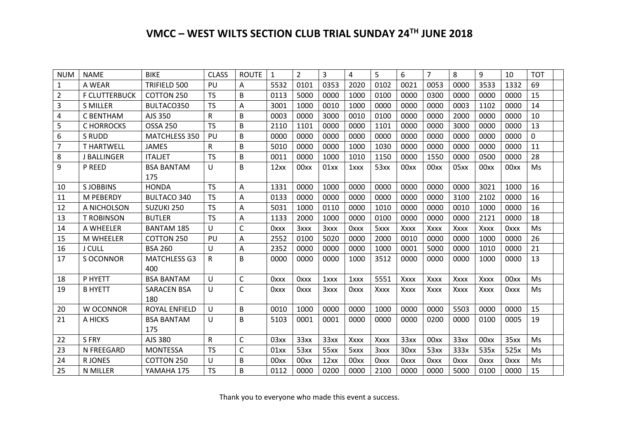## **VMCC – WEST WILTS SECTION CLUB TRIAL SUNDAY 24TH JUNE 2018**

| <b>NUM</b> | <b>NAME</b>          | <b>BIKE</b>          | <b>CLASS</b> | <b>ROUTE</b> | $\mathbf{1}$ | $\overline{2}$ | 3    | 4           | 5           | 6           | 7           | 8           | 9           | 10          | <b>TOT</b> |
|------------|----------------------|----------------------|--------------|--------------|--------------|----------------|------|-------------|-------------|-------------|-------------|-------------|-------------|-------------|------------|
| 1          | A WEAR               | TRIFIELD 500         | PU           | A            | 5532         | 0101           | 0353 | 2020        | 0102        | 0021        | 0053        | 0000        | 3533        | 1332        | 69         |
| 2          | <b>F CLUTTERBUCK</b> | COTTON 250           | <b>TS</b>    | B            | 0113         | 5000           | 0000 | 1000        | 0100        | 0000        | 0300        | 0000        | 0000        | 0000        | 15         |
| 3          | <b>S MILLER</b>      | BULTACO350           | <b>TS</b>    | A            | 3001         | 1000           | 0010 | 1000        | 0000        | 0000        | 0000        | 0003        | 1102        | 0000        | 14         |
| 4          | C BENTHAM            | AJS 350              | R            | B            | 0003         | 0000           | 3000 | 0010        | 0100        | 0000        | 0000        | 2000        | 0000        | 0000        | 10         |
| 5          | C HORROCKS           | <b>OSSA 250</b>      | <b>TS</b>    | B            | 2110         | 1101           | 0000 | 0000        | 1101        | 0000        | 0000        | 3000        | 0000        | 0000        | 13         |
| 6          | S RUDD               | <b>MATCHLESS 350</b> | PU           | B            | 0000         | 0000           | 0000 | 0000        | 0000        | 0000        | 0000        | 0000        | 0000        | 0000        | 0          |
| 7          | <b>T HARTWELL</b>    | <b>JAMES</b>         | R            | B            | 5010         | 0000           | 0000 | 1000        | 1030        | 0000        | 0000        | 0000        | 0000        | 0000        | 11         |
| 8          | <b>J BALLINGER</b>   | <b>ITALJET</b>       | <b>TS</b>    | B            | 0011         | 0000           | 1000 | 1010        | 1150        | 0000        | 1550        | 0000        | 0500        | 0000        | 28         |
| 9          | P REED               | <b>BSA BANTAM</b>    | U            | B            | 12xx         | 00xx           | 01xx | 1xxx        | 53xx        | 00xx        | 00xx        | 05xx        | 00xx        | 00xx        | Ms         |
|            |                      | 175                  |              |              |              |                |      |             |             |             |             |             |             |             |            |
| 10         | <b>SJOBBINS</b>      | <b>HONDA</b>         | <b>TS</b>    | A            | 1331         | 0000           | 1000 | 0000        | 0000        | 0000        | 0000        | 0000        | 3021        | 1000        | 16         |
| 11         | M PEBERDY            | <b>BULTACO 340</b>   | <b>TS</b>    | A            | 0133         | 0000           | 0000 | 0000        | 0000        | 0000        | 0000        | 3100        | 2102        | 0000        | 16         |
| 12         | A NICHOLSON          | SUZUKI 250           | <b>TS</b>    | A            | 5031         | 1000           | 0110 | 0000        | 1010        | 0000        | 0000        | 0010        | 1000        | 0000        | 16         |
| 13         | <b>T ROBINSON</b>    | <b>BUTLER</b>        | <b>TS</b>    | A            | 1133         | 2000           | 1000 | 0000        | 0100        | 0000        | 0000        | 0000        | 2121        | 0000        | 18         |
| 14         | A WHEELER            | <b>BANTAM 185</b>    | U            | $\mathsf{C}$ | <b>Oxxx</b>  | 3xxx           | 3xxx | <b>Oxxx</b> | 5xxx        | <b>Xxxx</b> | Xxxx        | Xxxx        | Xxxx        | <b>Oxxx</b> | Ms         |
| 15         | <b>M WHEELER</b>     | COTTON 250           | PU           | A            | 2552         | 0100           | 5020 | 0000        | 2000        | 0010        | 0000        | 0000        | 1000        | 0000        | 26         |
| 16         | <b>J CULL</b>        | <b>BSA 260</b>       | U            | A            | 2352         | 0000           | 0000 | 0000        | 1000        | 0001        | 5000        | 0000        | 1010        | 0000        | 21         |
| 17         | S OCONNOR            | <b>MATCHLESS G3</b>  | R            | B            | 0000         | 0000           | 0000 | 1000        | 3512        | 0000        | 0000        | 0000        | 1000        | 0000        | 13         |
|            |                      | 400                  |              |              |              |                |      |             |             |             |             |             |             |             |            |
| 18         | P HYETT              | <b>BSA BANTAM</b>    | U            | $\mathsf{C}$ | 0xxx         | <b>Oxxx</b>    | 1xxx | 1xxx        | 5551        | Xxxx        | Xxxx        | Xxxx        | Xxxx        | 00xx        | Ms         |
| 19         | <b>B HYETT</b>       | <b>SARACEN BSA</b>   | $\cup$       | $\mathsf{C}$ | 0xxx         | <b>Oxxx</b>    | 3xxx | 0xxx        | <b>Xxxx</b> | <b>Xxxx</b> | Xxxx        | Xxxx        | Xxxx        | 0xxx        | Ms         |
|            |                      | 180                  |              |              |              |                |      |             |             |             |             |             |             |             |            |
| 20         | W OCONNOR            | <b>ROYAL ENFIELD</b> | $\cup$       | B            | 0010         | 1000           | 0000 | 0000        | 1000        | 0000        | 0000        | 5503        | 0000        | 0000        | 15         |
| 21         | A HICKS              | <b>BSA BANTAM</b>    | $\cup$       | B            | 5103         | 0001           | 0001 | 0000        | 0000        | 0000        | 0200        | 0000        | 0100        | 0005        | 19         |
|            |                      | 175                  |              |              |              |                |      |             |             |             |             |             |             |             |            |
| 22         | S FRY                | AJS 380              | ${\sf R}$    | $\mathsf C$  | 03xx         | 33xx           | 33xx | Xxxx        | Xxxx        | 33xx        | 00xx        | 33xx        | 00xx        | 35xx        | Ms         |
| 23         | N FREEGARD           | <b>MONTESSA</b>      | <b>TS</b>    | C            | 01xx         | 53xx           | 55xx | 5xxx        | 3xxx        | 30xx        | 53xx        | 333x        | 535x        | 525x        | Ms         |
| 24         | R JONES              | COTTON 250           | U            | B            | 00xx         | 00xx           | 12xx | 00xx        | <b>Oxxx</b> | <b>Oxxx</b> | <b>Oxxx</b> | <b>Oxxx</b> | <b>Oxxx</b> | <b>Oxxx</b> | Ms         |
| 25         | N MILLER             | YAMAHA 175           | <b>TS</b>    | B            | 0112         | 0000           | 0200 | 0000        | 2100        | 0000        | 0000        | 5000        | 0100        | 0000        | 15         |